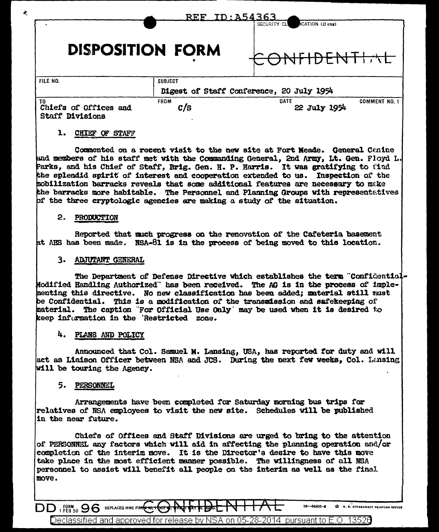|                                                       |                    | <u>REF ID:A54363</u><br>ICATION (If any)<br>SECURITY CL |
|-------------------------------------------------------|--------------------|---------------------------------------------------------|
|                                                       |                    |                                                         |
| <b>DISPOSITION FORM</b>                               |                    | $\Gamma$ N $1$                                          |
| FILE NO.                                              | <b>SUBJECT</b>     |                                                         |
|                                                       |                    | Digest of Staff Conference, 20 July 1954                |
| TO<br>Chiefs of Offices and<br><b>Staff Divisions</b> | <b>FROM</b><br>c/s | DATE<br><b>COMMENT NO. 1</b><br>22 July 1954            |

## 1. CHIEF OF STAFF

÷

Commented on a recent visit to the new site at Fort Meade. General Canine and members of his staff met with the Commanding General, 2nd Army, Lt. Gen. Floyd L. Parks, and his Chief of Staff, Brig. Gen. H. P. Harris. It was gratifying to find the splendid spirit of interest and cooperation extended to us. Inspection of the mobilization barracks reveals that some additional features are necessary to make the barracks more habitable. The Personnel and Planning Groups with representatives of the three cryptologic agencies are making a study of the situation.

#### 2. PRODUCTION

Reported that much progress on the renovation of the Cafeteria basement at AHS has been made. NSA-81 is in the process of being moved to this location.

#### 3. ADJUTANT GENERAL

The Department of Defense Directive which establishes the term "Confidential-Modified Handling Authorized" has been received. The AG is in the process of implementing this directive. No new classification has been added; material still wust be Confidential. This is a modification of the transmission and safekeeping of material. The caption "For Official Use Only' may be used when it is desired to keep information in the 'Restricted zone.

## 4. PLANS AND POLICY

Announced that Col. Samuel M. Lansing, USA, has reported for duty and will act as Liaison Officer between NSA and JCS. During the next few weeks, Col. Lansing will be touring the Agency.

### 5. PERSONNEL

Arrangements have been completed for Saturday morning bus trips for relatives of NSA employees to visit the new site. Schedules will be published in the near future.

Chiefs of Offices and Staff Divisions are urged to bring to the attention of PERSONNEL any factors which will aid in affecting the planning operation and/or completion of the interim move. It is the Director's desire to have this move take place in the most efficient manner possible. The willingness of all NSA personnel to assist will benefit all people on the interim as well as the final move.

DD FORM 96 REPLACES NME FOR 1

16-54801-8 X U. S. COVERNMENT PRINTING OFFICE

Declassified and approved for release by NSA on 05-28-2014 pursuant to E.O. 13526